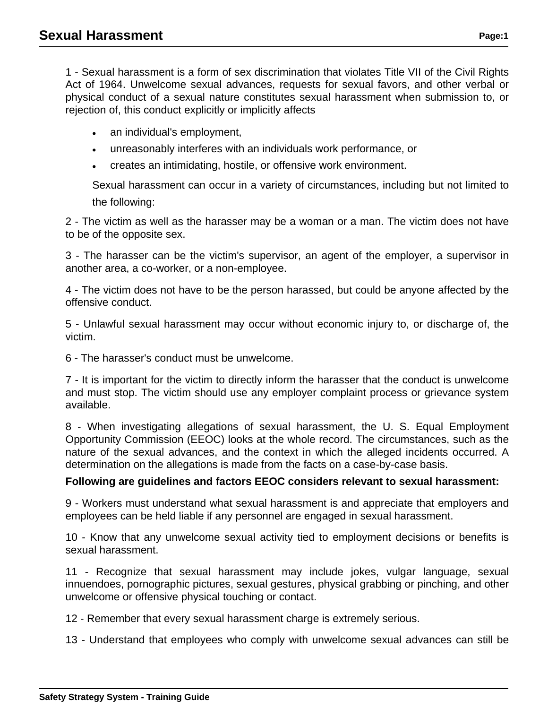1 - Sexual harassment is a form of sex discrimination that violates Title VII of the Civil Rights Act of 1964. Unwelcome sexual advances, requests for sexual favors, and other verbal or physical conduct of a sexual nature constitutes sexual harassment when submission to, or rejection of, this conduct explicitly or implicitly affects

- an individual's employment,
- unreasonably interferes with an individuals work performance, or
- creates an intimidating, hostile, or offensive work environment.

Sexual harassment can occur in a variety of circumstances, including but not limited to the following:

2 - The victim as well as the harasser may be a woman or a man. The victim does not have to be of the opposite sex.

3 - The harasser can be the victim's supervisor, an agent of the employer, a supervisor in another area, a co-worker, or a non-employee.

4 - The victim does not have to be the person harassed, but could be anyone affected by the offensive conduct.

5 - Unlawful sexual harassment may occur without economic injury to, or discharge of, the victim.

6 - The harasser's conduct must be unwelcome.

7 - It is important for the victim to directly inform the harasser that the conduct is unwelcome and must stop. The victim should use any employer complaint process or grievance system available.

8 - When investigating allegations of sexual harassment, the U. S. Equal Employment Opportunity Commission (EEOC) looks at the whole record. The circumstances, such as the nature of the sexual advances, and the context in which the alleged incidents occurred. A determination on the allegations is made from the facts on a case-by-case basis.

## **Following are guidelines and factors EEOC considers relevant to sexual harassment:**

9 - Workers must understand what sexual harassment is and appreciate that employers and employees can be held liable if any personnel are engaged in sexual harassment.

10 - Know that any unwelcome sexual activity tied to employment decisions or benefits is sexual harassment.

11 - Recognize that sexual harassment may include jokes, vulgar language, sexual innuendoes, pornographic pictures, sexual gestures, physical grabbing or pinching, and other unwelcome or offensive physical touching or contact.

12 - Remember that every sexual harassment charge is extremely serious.

13 - Understand that employees who comply with unwelcome sexual advances can still be